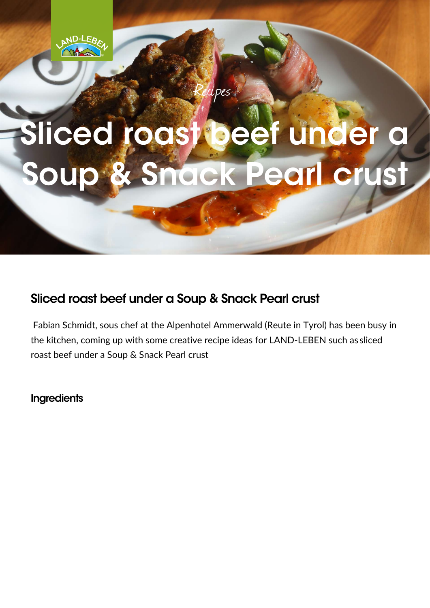

## Sliced roast beef under a Soup & Snack Pearl crust

cipes

## Sliced roast beef under a Soup & Snack Pearl crust

 Fabian Schmidt, sous chef at the Alpenhotel Ammerwald (Reute in Tyrol) has been busy in the kitchen, coming up with some creative recipe ideas for LAND-LEBEN such as sliced roast beef under a Soup & Snack Pearl crust

**Ingredients**